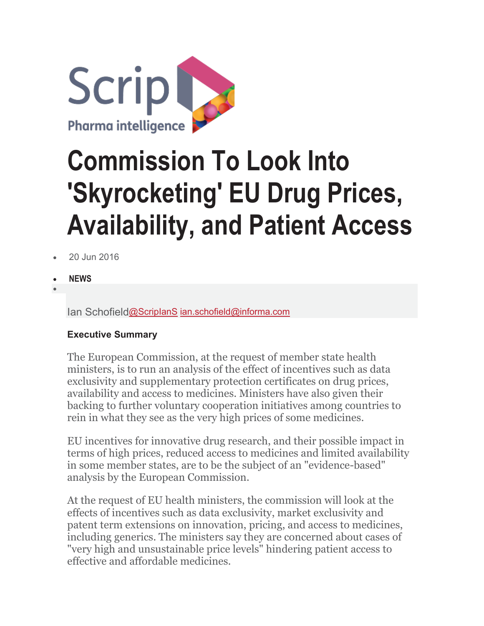

# **Commission To Look Into 'Skyrocketing' EU Drug Prices, Availability, and Patient Access**

- 20 Jun 2016
- **NEWS**
- •

Ian Schofiel[d@ScripIanS](http://www.twitter.com/ScripIanS) [ian.schofield@informa.com](mailto:ian.schofield@informa.com)

#### **Executive Summary**

The European Commission, at the request of member state health ministers, is to run an analysis of the effect of incentives such as data exclusivity and supplementary protection certificates on drug prices, availability and access to medicines. Ministers have also given their backing to further voluntary cooperation initiatives among countries to rein in what they see as the very high prices of some medicines.

EU incentives for innovative drug research, and their possible impact in terms of high prices, reduced access to medicines and limited availability in some member states, are to be the subject of an "evidence-based" analysis by the European Commission.

At the request of EU health ministers, the commission will look at the effects of incentives such as data exclusivity, market exclusivity and patent term extensions on innovation, pricing, and access to medicines, including generics. The ministers say they are concerned about cases of "very high and unsustainable price levels" hindering patient access to effective and affordable medicines.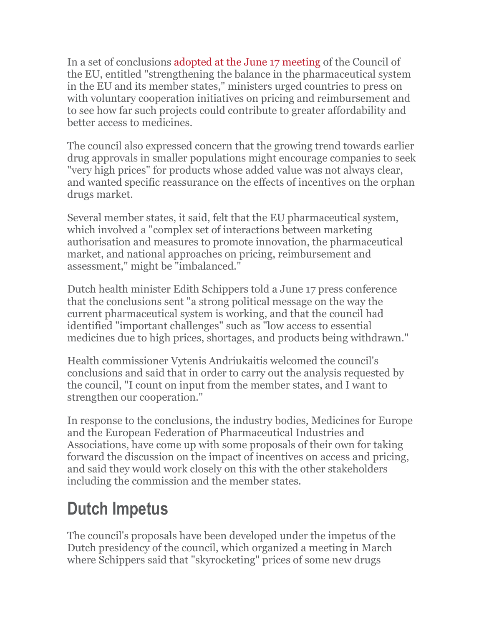In a set of conclusions [adopted at the June 17 meeting](http://www.consilium.europa.eu/en/press/press-releases/2016/06/17-epsco-conclusions-balance-pharmaceutical-system/?utm_source=dsms-auto&utm_medium=email&utm_campaign=Council+conclusions+on+strengthening+the+balance+in+the+pharmaceutical+systems+in+the+EU+and+its+Member+States) of the Council of the EU, entitled "strengthening the balance in the pharmaceutical system in the EU and its member states," ministers urged countries to press on with voluntary cooperation initiatives on pricing and reimbursement and to see how far such projects could contribute to greater affordability and better access to medicines.

The council also expressed concern that the growing trend towards earlier drug approvals in smaller populations might encourage companies to seek "very high prices" for products whose added value was not always clear, and wanted specific reassurance on the effects of incentives on the orphan drugs market.

Several member states, it said, felt that the EU pharmaceutical system, which involved a "complex set of interactions between marketing authorisation and measures to promote innovation, the pharmaceutical market, and national approaches on pricing, reimbursement and assessment," might be "imbalanced."

Dutch health minister Edith Schippers told a June 17 press conference that the conclusions sent "a strong political message on the way the current pharmaceutical system is working, and that the council had identified "important challenges" such as "low access to essential medicines due to high prices, shortages, and products being withdrawn."

Health commissioner Vytenis Andriukaitis welcomed the council's conclusions and said that in order to carry out the analysis requested by the council, "I count on input from the member states, and I want to strengthen our cooperation."

In response to the conclusions, the industry bodies, Medicines for Europe and the European Federation of Pharmaceutical Industries and Associations, have come up with some proposals of their own for taking forward the discussion on the impact of incentives on access and pricing, and said they would work closely on this with the other stakeholders including the commission and the member states.

### **Dutch Impetus**

The council's proposals have been developed under the impetus of the Dutch presidency of the council, which organized a meeting in March where Schippers said that "skyrocketing" prices of some new drugs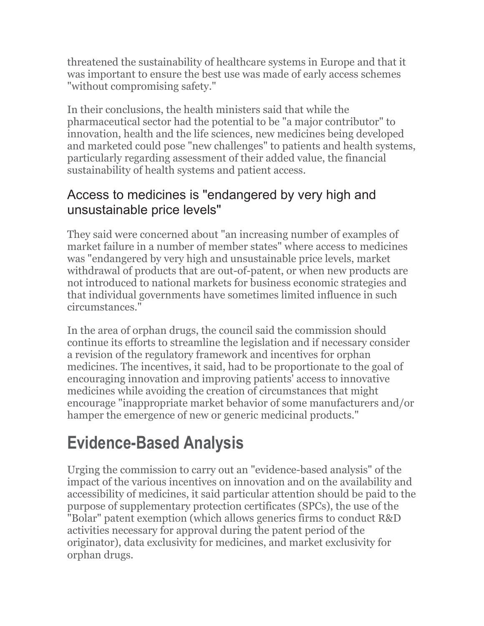threatened the sustainability of healthcare systems in Europe and that it was important to ensure the best use was made of early access schemes "without compromising safety."

In their conclusions, the health ministers said that while the pharmaceutical sector had the potential to be "a major contributor" to innovation, health and the life sciences, new medicines being developed and marketed could pose "new challenges" to patients and health systems, particularly regarding assessment of their added value, the financial sustainability of health systems and patient access.

### Access to medicines is "endangered by very high and unsustainable price levels"

They said were concerned about "an increasing number of examples of market failure in a number of member states" where access to medicines was "endangered by very high and unsustainable price levels, market withdrawal of products that are out-of-patent, or when new products are not introduced to national markets for business economic strategies and that individual governments have sometimes limited influence in such circumstances."

In the area of orphan drugs, the council said the commission should continue its efforts to streamline the legislation and if necessary consider a revision of the regulatory framework and incentives for orphan medicines. The incentives, it said, had to be proportionate to the goal of encouraging innovation and improving patients' access to innovative medicines while avoiding the creation of circumstances that might encourage "inappropriate market behavior of some manufacturers and/or hamper the emergence of new or generic medicinal products."

### **Evidence-Based Analysis**

Urging the commission to carry out an "evidence-based analysis" of the impact of the various incentives on innovation and on the availability and accessibility of medicines, it said particular attention should be paid to the purpose of supplementary protection certificates (SPCs), the use of the "Bolar" patent exemption (which allows generics firms to conduct R&D activities necessary for approval during the patent period of the originator), data exclusivity for medicines, and market exclusivity for orphan drugs.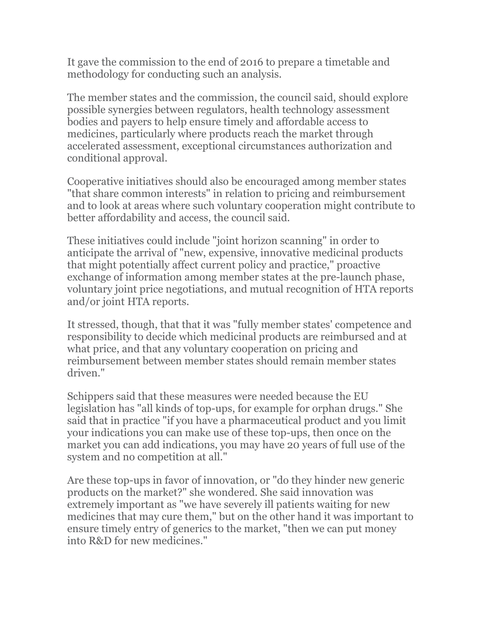It gave the commission to the end of 2016 to prepare a timetable and methodology for conducting such an analysis.

The member states and the commission, the council said, should explore possible synergies between regulators, health technology assessment bodies and payers to help ensure timely and affordable access to medicines, particularly where products reach the market through accelerated assessment, exceptional circumstances authorization and conditional approval.

Cooperative initiatives should also be encouraged among member states "that share common interests" in relation to pricing and reimbursement and to look at areas where such voluntary cooperation might contribute to better affordability and access, the council said.

These initiatives could include "joint horizon scanning" in order to anticipate the arrival of "new, expensive, innovative medicinal products that might potentially affect current policy and practice," proactive exchange of information among member states at the pre-launch phase, voluntary joint price negotiations, and mutual recognition of HTA reports and/or joint HTA reports.

It stressed, though, that that it was "fully member states' competence and responsibility to decide which medicinal products are reimbursed and at what price, and that any voluntary cooperation on pricing and reimbursement between member states should remain member states driven."

Schippers said that these measures were needed because the EU legislation has "all kinds of top-ups, for example for orphan drugs." She said that in practice "if you have a pharmaceutical product and you limit your indications you can make use of these top-ups, then once on the market you can add indications, you may have 20 years of full use of the system and no competition at all."

Are these top-ups in favor of innovation, or "do they hinder new generic products on the market?" she wondered. She said innovation was extremely important as "we have severely ill patients waiting for new medicines that may cure them," but on the other hand it was important to ensure timely entry of generics to the market, "then we can put money into R&D for new medicines."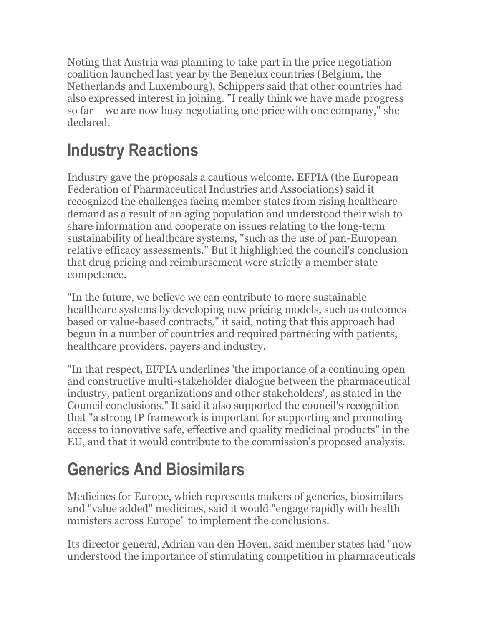Noting that Austria was planning to take part in the price negotiation coalition launched last year by the Benelux countries (Belgium, the Netherlands and Luxembourg), Schippers said that other countries had also expressed interest in joining. "I really think we have made progress so far – we are now busy negotiating one price with one company," she declared.

### **Industry Reactions**

Industry gave the proposals a cautious welcome. EFPIA (the European Federation of Pharmaceutical Industries and Associations) said it recognized the challenges facing member states from rising healthcare demand as a result of an aging population and understood their wish to share information and cooperate on issues relating to the long-term sustainability of healthcare systems, "such as the use of pan-European relative efficacy assessments." But it highlighted the council's conclusion that drug pricing and reimbursement were strictly a member state competence.

"In the future, we believe we can contribute to more sustainable healthcare systems by developing new pricing models, such as outcomesbased or value-based contracts," it said, noting that this approach had begun in a number of countries and required partnering with patients, healthcare providers, payers and industry.

"In that respect, EFPIA underlines 'the importance of a continuing open and constructive multi-stakeholder dialogue between the pharmaceutical industry, patient organizations and other stakeholders', as stated in the Council conclusions." It said it also supported the council's recognition that "a strong IP framework is important for supporting and promoting access to innovative safe, effective and quality medicinal products" in the EU, and that it would contribute to the commission's proposed analysis.

## **Generics And Biosimilars**

Medicines for Europe, which represents makers of generics, biosimilars and "value added" medicines, said it would "engage rapidly with health ministers across Europe" to implement the conclusions.

Its director general, Adrian van den Hoven, said member states had "now understood the importance of stimulating competition in pharmaceuticals